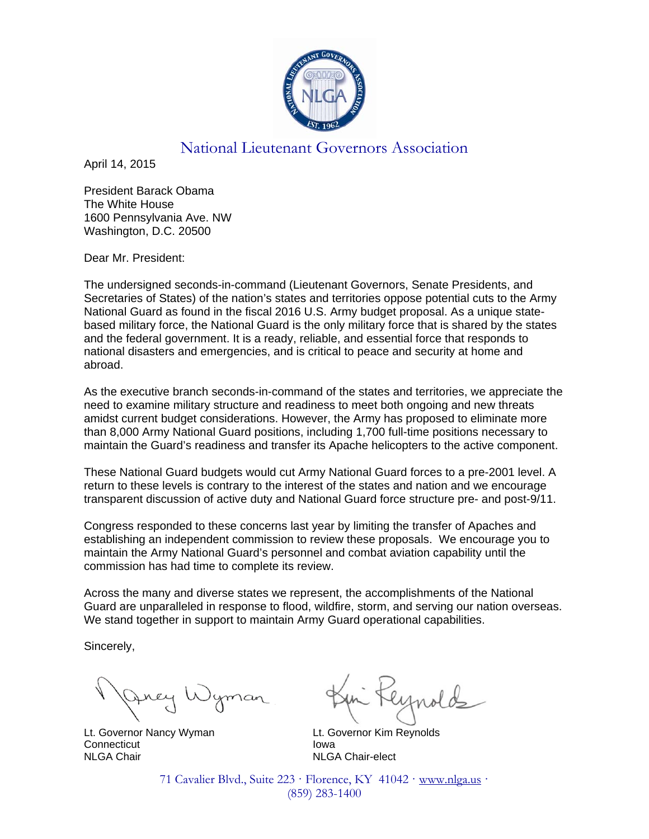

## National Lieutenant Governors Association

April 14, 2015

President Barack Obama The White House 1600 Pennsylvania Ave. NW Washington, D.C. 20500

Dear Mr. President:

The undersigned seconds-in-command (Lieutenant Governors, Senate Presidents, and Secretaries of States) of the nation's states and territories oppose potential cuts to the Army National Guard as found in the fiscal 2016 U.S. Army budget proposal. As a unique statebased military force, the National Guard is the only military force that is shared by the states and the federal government. It is a ready, reliable, and essential force that responds to national disasters and emergencies, and is critical to peace and security at home and abroad.

As the executive branch seconds-in-command of the states and territories, we appreciate the need to examine military structure and readiness to meet both ongoing and new threats amidst current budget considerations. However, the Army has proposed to eliminate more than 8,000 Army National Guard positions, including 1,700 full-time positions necessary to maintain the Guard's readiness and transfer its Apache helicopters to the active component.

These National Guard budgets would cut Army National Guard forces to a pre-2001 level. A return to these levels is contrary to the interest of the states and nation and we encourage transparent discussion of active duty and National Guard force structure pre- and post-9/11.

Congress responded to these concerns last year by limiting the transfer of Apaches and establishing an independent commission to review these proposals. We encourage you to maintain the Army National Guard's personnel and combat aviation capability until the commission has had time to complete its review.

Across the many and diverse states we represent, the accomplishments of the National Guard are unparalleled in response to flood, wildfire, storm, and serving our nation overseas. We stand together in support to maintain Army Guard operational capabilities.

Sincerely,

 Lt. Governor Nancy Wyman Lt. Governor Kim Reynolds Connecticut **Iowa** NLGA Chair NLGA Chair-elect

71 Cavalier Blvd., Suite 223 · Florence, KY 41042 · www.nlga.us · (859) 283-1400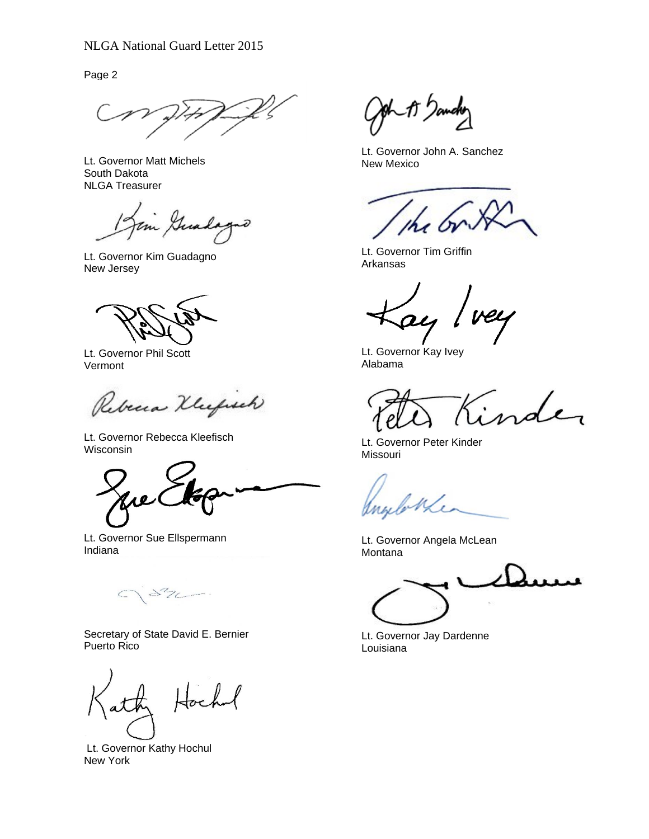Page 2

Lt. Governor Matt Michels South Dakota NLGA Treasurer

im Guad nð

Lt. Governor Kim Guadagno New Jersey

Lt. Governor Phil Scott Vermont

Rebena Klufsch

Lt. Governor Rebecca Kleefisch Wisconsin

w

Lt. Governor Sue Ellspermann Indiana

 $\mathcal{L}_{2}$  $\subset$ 

Secretary of State David E. Bernier Puerto Rico

 Lt. Governor Kathy Hochul New York

gh\_1J )am

Lt. Governor John A. Sanchez New Mexico

Lt. Governor Tim Griffin Arkansas

au

Lt. Governor Kay Ivey Alabama

rder

Lt. Governor Peter Kinder Missouri

Lt. Governor Angela McLean Montana

Lt. Governor Jay Dardenne Louisiana